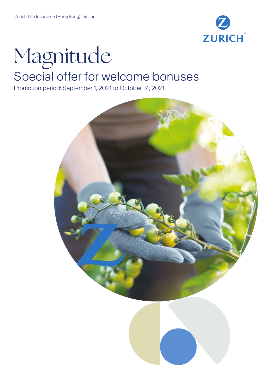

# Magnitude Special offer for welcome bonuses

Promotion period: September 1, 2021 to October 31, 2021

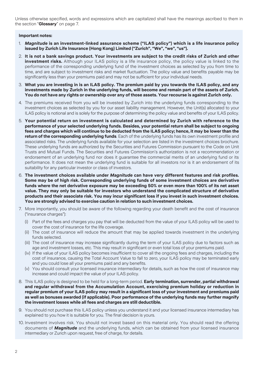Unless otherwise specified, words and expressions which are capitalized shall have the meanings ascribed to them in the section "**Glossary**" on page 7.

#### **Important notes:**

- 1. *Magnitude* **is an investment-linked assurance scheme ("ILAS policy") which is a life insurance policy issued by Zurich Life Insurance (Hong Kong) Limited ("Zurich", "We", "we", "us").**
- 2. **It is not a bank savings product. Your investments are subject to the credit risks of Zurich and other**  investment risks. Although your ILAS policy is a life insurance policy, the policy value is linked to the performance of the corresponding underlying fund of the investment choices as selected by you from time to time, and are subject to investment risks and market fluctuation. The policy value and benefits payable may be significantly less than your premiums paid and may not be sufficient for your individual needs.
- 3. **What you are investing in is an ILAS policy. The premium paid by you towards the ILAS policy, and any investments made by Zurich in the underlying funds, will become and remain part of the assets of Zurich. You do not have any rights or ownership over any of those assets. Your recourse is against Zurich only.**
- 4. The premiums received from you will be invested by Zurich into the underlying funds corresponding to the investment choices as selected by you for our asset liability management. However, the Unit(s) allocated to your ILAS policy is notional and is solely for the purpose of determining the policy value and benefits of your ILAS policy.
- 5. **Your potential return on investment is calculated and determined by Zurich with reference to the performance of your selected underlying funds. Besides, your potential return shall be subject to ongoing fees and charges which will continue to be deducted from the ILAS policy; hence, it may be lower than the return of the corresponding underlying funds**. Each of the underlying funds has its own investment profile and associated risks. The underlying funds available for your selection are listed in the investment choices brochure. These underlying funds are authorized by the Securities and Futures Commission pursuant to the Code on Unit Trusts and Mutual Funds. The Securities and Futures Commission's authorization is not a recommendation or endorsement of an underlying fund nor does it guarantee the commercial merits of an underlying fund or its performance. It does not mean the underlying fund is suitable for all investors nor is it an endorsement of its suitability for any particular investor or class of investors.
- 6. **The investment choices available under** *Magnitude* **can have very different features and risk profiles. Some may be of high risk. Corresponding underlying funds of some investment choices are derivative funds where the net derivative exposure may be exceeding 50% or even more than 100% of its net asset value. They may only be suitable for investors who understand the complicated structure of derivative products and their associate risk. You may incur significant loss if you invest in such investment choices. You are strongly advised to exercise caution in relation to such investment choices.**
- 7. More importantly, you should be aware of the following regarding your death benefit and the cost of insurance ("insurance charges"):
	- (i) Part of the fees and charges you pay that will be deducted from the value of your ILAS policy will be used to cover the cost of insurance for the life coverage.
	- (ii) The cost of insurance will reduce the amount that may be applied towards investment in the underlying funds selected.
	- (iii) The cost of insurance may increase significantly during the term of your ILAS policy due to factors such as age and investment losses, etc. This may result in significant or even total loss of your premiums paid.
	- (iv) If the value of your ILAS policy becomes insufficient to cover all the ongoing fees and charges, including the cost of insurance, causing the Total Account Value to fall to zero, your ILAS policy may be terminated early and you could lose all your premiums paid and any benefits.
	- (v) You should consult your licensed insurance intermediary for details, such as how the cost of insurance may increase and could impact the value of your ILAS policy.
- 8. This ILAS policy is designed to be held for a long-term period. **Early termination, surrender, partial withdrawal and regular withdrawal from the Accumulation Account, exercising premium holiday or reduction in regular premium of your ILAS policy may result in a significant loss of your investment and premiums paid as well as bonuses awarded (if applicable). Poor performance of the underlying funds may further magnify the investment losses while all fees and charges are still deductible.**
- 9. You should not purchase this ILAS policy unless you understand it and your licensed insurance intermediary has explained to you how it is suitable for you. The final decision is yours.
- 10. Investment involves risk. You should not invest based on this material only. You should read the offering documents of *Magnitude* and the underlying funds, which can be obtained from your licensed insurance intermediary or Zurich upon request, free of charge, for details.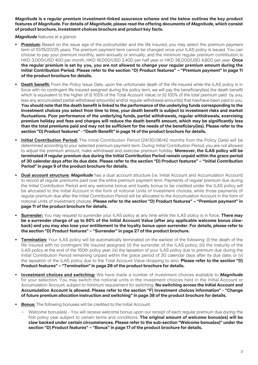*Magnitude* **is a regular premium investment-linked assurance scheme and the below outlines the key product features of** *Magnitude***. For details of** *Magnitude***, please read the offering documents of** *Magnitude***, which consist of product brochure, investment choices brochure and product key facts.**

*Magnitude* features at a glance:

- **Premium:** Based on the issue age of the policyholder and the life insured, you may select the premium payment term of 10/15/20/25 years. The premium payment term cannot be changed once your ILAS policy is issued. You can choose to pay your premium monthly, semi-annually or annually, and the minimum regular premium contribution is HKD 3,000/USD 400 per month, HKD 18,000/USD 2,400 per half year or HKD 36,000/USD 4,800 per year. **Once the regular premium is set by you, you are not allowed to change your regular premium amount during the Initial Contribution Period. Please refer to the section "D) Product features" – "Premium payment" in page 11 of the product brochure for details.**
- **Death benefit:** From the Policy Issue Date, upon the unfortunate death of the life insured while the ILAS policy is in force with no contingent life insured assigned during the policy term, we will pay the beneficiary(ies) the death benefit which is equivalent to the higher of (i) 105% of the Total Account Value; or (ii) 100% of the total premium paid by you, less any accumulated partial withdrawal amount(s) and/or regular withdrawal amount(s) that has/have been paid to you. **You should note that the death benefit is linked to the performance of the underlying funds corresponding to the investment choices you select from time to time, your death benefit is subject to investment risks and market fluctuations. Poor performance of the underlying funds, partial withdrawals, regular withdrawals, exercising premium holiday and fees and charges will reduce the death benefit amount, which may be significantly less than the total premiums paid and may not be sufficient for the needs of the beneficiary(ies). Please refer to the section "D) Product features" - "Death Benefit" in page 14 of the product brochure for details.**
- **• Initial Contribution Period:** The Initial Contribution Period (24/30/36/42 months from the Policy Date) will be determined according to your selected premium payment term. During Initial Contribution Period, you are not allowed to adjust the premium amount, make withdrawal and exercise premium holiday. **Moreover, the ILAS policy will be terminated if regular premium due during the Initial Contribution Period remain unpaid within the grace period of 30 calendar days after its due date. Please refer to the section "D) Product features" – "Initial Contribution Period" in page 9 of the product brochure for details.**
- **• Dual account structure:** *Magnitude* has a dual account structure (i.e. Initial Account and Accumulation Account) to record all regular premiums paid over the entire premium payment term. Payments of regular premium due during the Initial Contribution Period and any welcome bonus and loyalty bonus to be credited under the ILAS policy will be allocated to the Initial Account in the form of notional Units of investment choices, while those payments of regular premium due after the Initial Contribution Period will be allocated to the Accumulation Account in the form of notional Units of investment choices. **Please refer to the section "D) Product features" – "Premium payment" in page 11 of the product brochure for details.**
- **• Surrender:** You may request to surrender your ILAS policy at any time while the ILAS policy is in force. **There may be a surrender charge of up to 60% of the Initial Account Value (after any applicable welcome bonus clawback) and you may also lose your entitlement to the loyalty bonus upon surrender. For details, please refer to the section "D) Product features" – "Surrender" in page 27 of the product brochure.**
- **• Termination:** Your ILAS policy will be automatically terminated on the earliest of the following: (i) the death of the life insured with no contingent life insured assigned; (ii) the surrender of the ILAS policy; (iii) the maturity of the ILAS policy at the end of the 150th policy year; (iv) the lapsation of your ILAS policy due to premium due during the Initial Contribution Period remaining unpaid within the grace period of 30 calendar days after its due date; or (v) the lapsation of the ILAS policy due to the Total Account Value dropping to zero. **Please refer to the section "D) Product features" – "Termination" in page 28 of the product brochure for details.**
- **• Investment choices and switching:** We have made a number of investment choices available to *Magnitude* for your selection. You may switch the notional units in the investment choices held in the Initial Account or Accumulation Account, subject to minimum requirement for switching. **No switching across the Initial Account and Accumulation Account is allowed. Please refer to the section "F) Investment choices information" - "Change of future premium allocation instruction and switching" in page 38 of the product brochure for details.**
- **Bonus:** The following bonuses will be credited to the Initial Account:
	- Welcome bonus(es) You will receive welcome bonus upon our receipt of each regular premium due during the first policy year subject to certain terms and conditions. **The original amount of welcome bonus(es) will be claw backed under certain circumstances. Please refer to the sub-section "Welcome bonus(es)" under the section "D) Product features" – "Bonus" in page 17 of the product brochure for details.**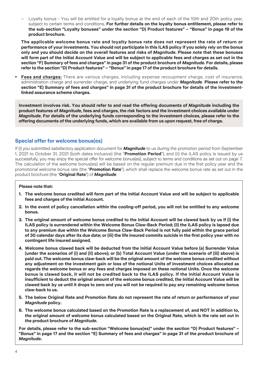– Loyalty bonus - You will be entitled for a loyalty bonus at the end of each of the 10th and 20th policy year, subject to certain terms and conditions. **For further details on the loyalty bonus entitlement, please refer to the sub-section "Loyalty bonuses" under the section "D) Product features" – "Bonus" in page 19 of the product brochure.**

 **The applicable welcome bonus rate and loyalty bonus rate does not represent the rate of return or performance of your investments. You should not participate in this ILAS policy if you solely rely on the bonus only and you should decide on the overall features and risks of** *Magnitude***. Please note that these bonuses will form part of the Initial Account Value and will be subject to applicable fees and charges as set out in the section "F) Summary of fees and charges" in page 31 of the product brochure of** *Magnitude***. For details, please refer to the section "D) Product features" – "Bonus" in page 17 of the product brochure for details.**

**• Fees and charges:** There are various charges, including expense recoupment charge, cost of insurance, administration charge and surrender charge, and underlying fund charges under *Magnitude*. **Please refer to the section "E) Summary of fees and charges" in page 31 of the product brochure for details of the investmentlinked assurance scheme charges.**

**Investment involves risk. You should refer to and read the offering documents of** *Magnitude* **including the product features of** *Magnitude***, fees and charges, the risk factors and the investment choices available under**  *Magnitude***. For details of the underlying funds corresponding to the investment choices, please refer to the offering documents of the underlying funds, which are available from us upon request, free of charge.**

## **Special offer for welcome bonus(es)**

If (i) you submitted satisfactory application document for *Magnitude* to us during the promotion period from September 1, 2021 to October 31, 2021 (both dates inclusive) (the "**Promotion Period**"); and (ii) the ILAS policy is issued by us successfully, you may enjoy the special offer for welcome bonus(es), subject to terms and conditions as set out on page 7. The calculation of the welcome bonus(es) will be based on the regular premium due in the first policy year and the promotional welcome bonus rate (the "**Promotion Rate**"), which shall replace the welcome bonus rate as set out in the product brochure (the "**Original Rate**") of *Magnitude*.

#### **Please note that:**

- **1. The welcome bonus credited will form part of the Initial Account Value and will be subject to applicable fees and charges of the Initial Account.**
- **2. In the event of policy cancellation within the cooling-off period, you will not be entitled to any welcome bonus.**
- **3. The original amount of welcome bonus credited to the Initial Account will be clawed back by us if (i) the ILAS policy is surrendered within the Welcome Bonus Claw-Back Period; (ii) the ILAS policy is lapsed due to any premium due within the Welcome Bonus Claw-Back Period is not fully paid within the grace period of 30 calendar days after its due date; or (iii) the life insured commits suicide in the first policy year with no contingent life insured assigned.**
- **4. Welcome bonus clawed back will be deducted from the Initial Account Value before (a) Surrender Value (under the scenarios of (i) and (ii) above); or (b) Total Account Value (under the scenario of (iii) above) is paid out. The welcome bonus claw-back will be the original amount of the welcome bonus credited without any adjustment on the investment gain or loss of the notional Units of investment choices allocated as regards the welcome bonus or any fees and charges imposed on these notional Units. Once the welcome bonus is clawed back, it will not be credited back to the ILAS policy. If the Initial Account Value is insufficient to deduct the original amount of the welcome bonus credited, the Initial Account Value will be clawed back by us until it drops to zero and you will not be required to pay any remaining welcome bonus claw-back to us.**
- **5. The below Original Rate and Promotion Rate do not represent the rate of return or performance of your**  *Magnitude* **policy.**
- **6. The welcome bonus calculated based on the Promotion Rate is a replacement of, and NOT in addition to, the original amount of welcome bonus calculated based on the Original Rate, which is the rate set out in the product brochure of** *Magnitude***.**

**For details, please refer to the sub-section "Welcome bonus(es)" under the section "D) Product features" – "Bonus" in page 17 and the section "E) Summary of fees and charges" in page 31 of the product brochure of**  *Magnitude***.**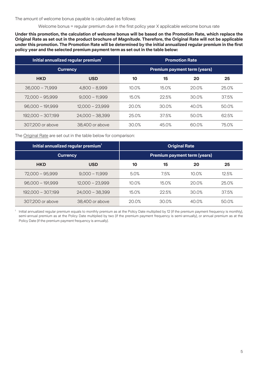The amount of welcome bonus payable is calculated as follows:

Welcome bonus = regular premium due in the first policy year X applicable welcome bonus rate

**Under this promotion, the calculation of welcome bonus will be based on the Promotion Rate, which replace the Original Rate as set out in the product brochure of** *Magnitude***. Therefore, the Original Rate will not be applicable under this promotion. The Promotion Rate will be determined by the initial annualized regular premium in the first policy year and the selected premium payment term as set out in the table below:**

| Initial annualized regular premium <sup>1</sup> |                   | <b>Promotion Rate</b>               |       |       |       |
|-------------------------------------------------|-------------------|-------------------------------------|-------|-------|-------|
| <b>Currency</b>                                 |                   | <b>Premium payment term (years)</b> |       |       |       |
| <b>HKD</b>                                      | <b>USD</b>        | 10                                  | 15    | 20    | 25    |
| $36,000 - 71,999$                               | $4,800 - 8,999$   | 10.0%                               | 15.0% | 20.0% | 25.0% |
| 72,000 - 95,999                                 | $9,000 - 11,999$  | 15.0%                               | 22.5% | 30.0% | 37.5% |
| $96,000 - 191,999$                              | $12,000 - 23,999$ | 20.0%                               | 30.0% | 40.0% | 50.0% |
| 192,000 - 307,199                               | $24,000 - 38,399$ | 25.0%                               | 37.5% | 50.0% | 62.5% |
| 307,200 or above                                | 38,400 or above   | 30.0%                               | 45.0% | 60.0% | 75.0% |

The Original Rate are set out in the table below for comparison:

| Initial annualized regular premium <sup>1</sup> |                   | <b>Original Rate</b>                |       |       |       |
|-------------------------------------------------|-------------------|-------------------------------------|-------|-------|-------|
| <b>Currency</b>                                 |                   | <b>Premium payment term (years)</b> |       |       |       |
| <b>HKD</b>                                      | <b>USD</b>        | 10                                  | 15    | 20    | 25    |
| $72,000 - 95,999$                               | $9,000 - 11,999$  | 5.0%                                | 7.5%  | 10.0% | 12.5% |
| $96,000 - 191,999$                              | $12,000 - 23,999$ | 10.0%                               | 15.0% | 20.0% | 25.0% |
| 192,000 - 307,199                               | $24,000 - 38,399$ | 15.0%                               | 22.5% | 30.0% | 37.5% |
| 307,200 or above                                | 38,400 or above   | 20.0%                               | 30.0% | 40.0% | 50.0% |

1 Initial annualized regular premium equals to monthly premium as at the Policy Date multiplied by 12 (if the premium payment frequency is monthly), semi-annual premium as at the Policy Date multiplied by two (if the premium payment frequency is semi-annually), or annual premium as at the Policy Date (if the premium payment frequency is annually).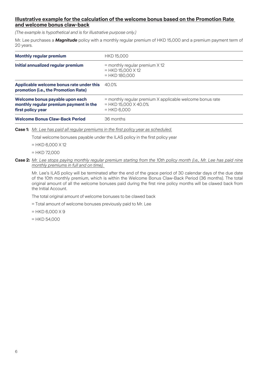### **Illustrative example for the calculation of the welcome bonus based on the Promotion Rate and welcome bonus claw-back**

*(The example is hypothetical and is for illustrative purpose only.)*

Mr. Lee purchases a *Magnitude* policy with a monthly regular premium of HKD 15,000 and a premium payment term of 20 years.

| <b>Monthly regular premium</b>                                                                 | <b>HKD 15,000</b>                                                                                    |
|------------------------------------------------------------------------------------------------|------------------------------------------------------------------------------------------------------|
| Initial annualized regular premium                                                             | $=$ monthly regular premium $\times$ 12<br>$=$ HKD 15,000 X 12<br>$=$ HKD 180,000                    |
| Applicable welcome bonus rate under this<br>promotion (i.e., the Promotion Rate)               | 40.0%                                                                                                |
| Welcome bonus payable upon each<br>monthly regular premium payment in the<br>first policy year | = monthly regular premium X applicable welcome bonus rate<br>$=$ HKD 15,000 X 40.0%<br>$=$ HKD 6,000 |
| <b>Welcome Bonus Claw-Back Period</b>                                                          | 36 months                                                                                            |

**Case 1:** *Mr. Lee has paid all regular premiums in the first policy year as scheduled.*

Total welcome bonuses payable under the ILAS policy in the first policy year

 $=$  HKD 6,000  $\times$  12

 $=$  HKD 72,000

#### **Case 2:** *Mr. Lee stops paying monthly regular premium starting from the 10th policy month (i.e., Mr. Lee has paid nine monthly premiums in full and on time).*

 Mr. Lee's ILAS policy will be terminated after the end of the grace period of 30 calendar days of the due date of the 10th monthly premium, which is within the Welcome Bonus Claw-Back Period (36 months). The total original amount of all the welcome bonuses paid during the first nine policy months will be clawed back from the Initial Account.

The total original amount of welcome bonuses to be clawed back

= Total amount of welcome bonuses previously paid to Mr. Lee

 $=$  HKD 6,000 X 9

 $=$  HKD 54,000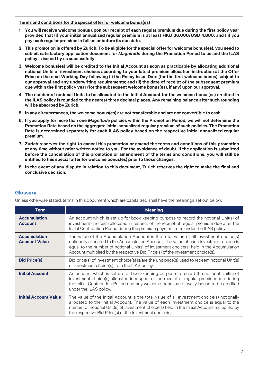**Terms and conditions for the special offer for welcome bonus(es)**

- **1. You will receive welcome bonus upon our receipt of each regular premium due during the first policy year provided that (i) your initial annualized regular premium is at least HKD 36,000/USD 4,800; and (ii) you pay each regular premium in full on or before its due date.**
- **2. This promotion is offered by Zurich. To be eligible for the special offer for welcome bonus(es), you need to submit satisfactory application document for** *Magnitude* **during the Promotion Period to us and the ILAS policy is issued by us successfully.**
- **3. Welcome bonus(es) will be credited to the Initial Account as soon as practicable by allocating additional notional Units of investment choices according to your latest premium allocation instruction at the Offer Price on the next Working Day following (i) the Policy Issue Date (for the first welcome bonus) subject to our approval and any underwriting requirements; and (ii) the date of receipt of the subsequent premium due within the first policy year (for the subsequent welcome bonus(es), if any) upon our approval.**
- **4. The number of notional Units to be allocated to the Initial Account for the welcome bonus(es) credited in the ILAS policy is rounded to the nearest three decimal places. Any remaining balance after such rounding will be absorbed by Zurich.**
- **5. In any circumstances, the welcome bonus(es) are not transferable and are not convertible to cash.**
- **6. If you apply for more than one** *Magnitude* **policies within the Promotion Period, we will not determine the Promotion Rate based on the aggregate initial annualized regular premium of such policies. The Promotion Rate is determined separately for each ILAS policy based on the respective initial annualized regular premium.**
- **7. Zurich reserves the right to cancel this promotion or amend the terms and conditions of this promotion at any time without prior written notice to you. For the avoidance of doubt, if the application is submitted before the cancellation of this promotion or amendment of the terms and conditions, you will still be entitled to this special offer for welcome bonus(es) prior to those changes.**
- **8. In the event of any dispute in relation to this document, Zurich reserves the right to make the final and conclusive decision.**

| <b>Term</b>                                 | <b>Meaning</b>                                                                                                                                                                                                                                                                                                                                                 |
|---------------------------------------------|----------------------------------------------------------------------------------------------------------------------------------------------------------------------------------------------------------------------------------------------------------------------------------------------------------------------------------------------------------------|
| <b>Accumulation</b><br><b>Account</b>       | An account which is set up for book-keeping purpose to record the notional Unit(s) of<br>investment choice(s) allocated in respect of the receipt of regular premium due after the<br>Initial Contribution Period during the premium payment term under the ILAS policy.                                                                                       |
| <b>Accumulation</b><br><b>Account Value</b> | The value of the Accumulation Account is the total value of all investment choice(s)<br>notionally allocated to the Accumulation Account. The value of each investment choice is<br>equal to the number of notional Unit(s) of investment choice(s) held in the Accumulation<br>Account multiplied by the respective Bid Price(s) of the investment choice(s). |
| <b>Bid Price(s)</b>                         | Bid price(s) of investment choice(s) is/are the unit price(s) used to redeem notional Unit(s)<br>of investment choice(s) from the ILAS policy.                                                                                                                                                                                                                 |
| <b>Initial Account</b>                      | An account which is set up for book-keeping purpose to record the notional Unit(s) of<br>investment choice(s) allocated in respect of the receipt of regular premium due during<br>the Initial Contribution Period and any welcome bonus and loyalty bonus to be credited<br>under the ILAS policy.                                                            |
| <b>Initial Account Value</b>                | The value of the Initial Account is the total value of all investment choice(s) notionally<br>allocated to the Initial Account. The value of each investment choice is equal to the<br>number of notional Unit(s) of investment choice(s) held in the Initial Account multiplied by<br>the respective Bid Price(s) of the investment choice(s).                |

## **Glossary**

Unless otherwise stated, terms in this document which are capitalized shall have the meanings set out below: